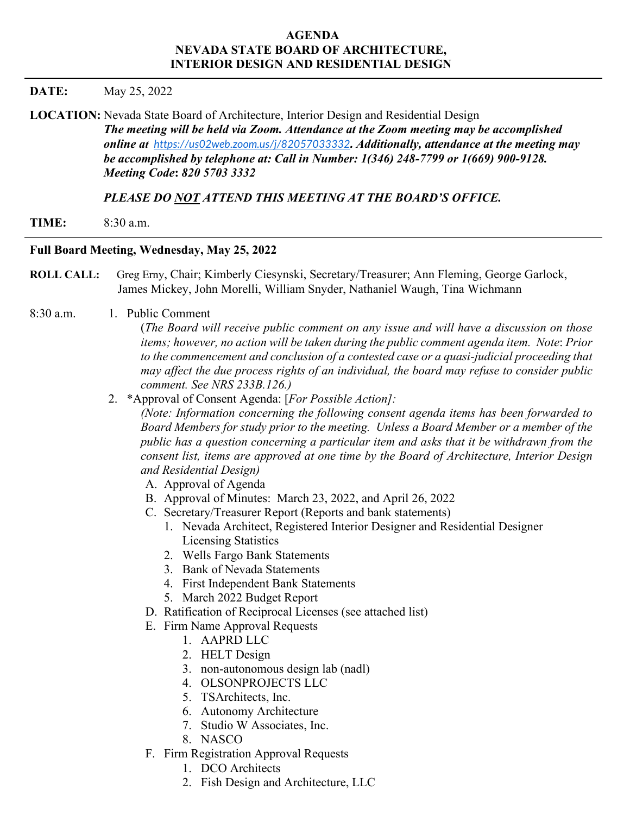## **AGENDA NEVADA STATE BOARD OF ARCHITECTURE, INTERIOR DESIGN AND RESIDENTIAL DESIGN**

## **DATE:** May 25, 2022

**LOCATION:** Nevada State Board of Architecture, Interior Design and Residential Design *The meeting will be held via Zoom. Attendance at the Zoom meeting may be accomplished online at <https://us02web.zoom.us/j/82057033332>. Additionally, attendance at the meeting may be accomplished by telephone at: Call in Number: 1(346) 248-7799 or 1(669) 900-9128. Meeting Code***:** *820 5703 3332* 

*PLEASE DO NOT ATTEND THIS MEETING AT THE BOARD'S OFFICE.*

**TIME:** 8:30 a.m.

#### **Full Board Meeting, Wednesday, May 25, 2022**

- **ROLL CALL:** Greg Erny, Chair; Kimberly Ciesynski, Secretary/Treasurer; Ann Fleming, George Garlock, James Mickey, John Morelli, William Snyder, Nathaniel Waugh, Tina Wichmann
- 8:30 a.m. 1. Public Comment
	- (*The Board will receive public comment on any issue and will have a discussion on those items; however, no action will be taken during the public comment agenda item. Note*: *Prior to the commencement and conclusion of a contested case or a quasi-judicial proceeding that may affect the due process rights of an individual, the board may refuse to consider public comment. See NRS 233B.126.)*
	- 2. \*Approval of Consent Agenda: [*For Possible Action]:*

*(Note: Information concerning the following consent agenda items has been forwarded to Board Members for study prior to the meeting. Unless a Board Member or a member of the public has a question concerning a particular item and asks that it be withdrawn from the consent list, items are approved at one time by the Board of Architecture, Interior Design and Residential Design)* 

- A. Approval of Agenda
- B. Approval of Minutes: March 23, 2022, and April 26, 2022
- C. Secretary/Treasurer Report (Reports and bank statements)
	- 1. Nevada Architect, Registered Interior Designer and Residential Designer Licensing Statistics
	- 2. Wells Fargo Bank Statements
	- 3. Bank of Nevada Statements
	- 4. First Independent Bank Statements
	- 5. March 2022 Budget Report
- D. Ratification of Reciprocal Licenses (see attached list)
- E. Firm Name Approval Requests
	- 1. AAPRD LLC
	- 2. HELT Design
	- 3. non-autonomous design lab (nadl)
	- 4. OLSONPROJECTS LLC
	- 5. TSArchitects, Inc.
	- 6. Autonomy Architecture
	- 7. Studio W Associates, Inc.
	- 8. NASCO
- F. Firm Registration Approval Requests
	- 1. DCO Architects
	- 2. Fish Design and Architecture, LLC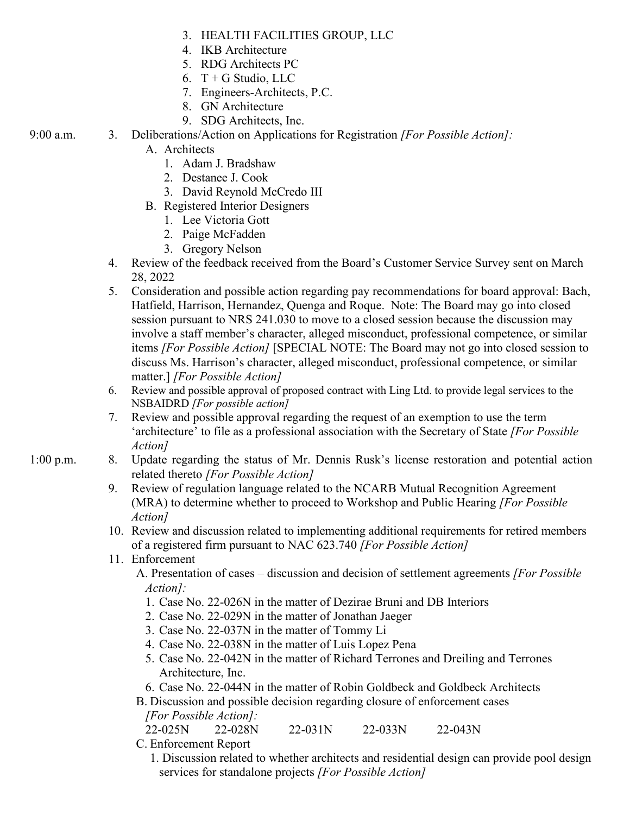- 3. HEALTH FACILITIES GROUP, LLC
- 4. IKB Architecture
- 5. RDG Architects PC
- 6.  $T + G$  Studio, LLC
- 7. Engineers-Architects, P.C.
- 8. GN Architecture
- 9. SDG Architects, Inc.

- 9:00 a.m. 3. Deliberations/Action on Applications for Registration *[For Possible Action]:*
	- A. Architects
		- 1. Adam J. Bradshaw
		- 2. Destanee J. Cook
		- 3. David Reynold McCredo III
		- B. Registered Interior Designers
			- 1. Lee Victoria Gott
			- 2. Paige McFadden
			- 3. Gregory Nelson
	- 4. Review of the feedback received from the Board's Customer Service Survey sent on March 28, 2022
	- 5. Consideration and possible action regarding pay recommendations for board approval: Bach, Hatfield, Harrison, Hernandez, Quenga and Roque. Note: The Board may go into closed session pursuant to NRS 241.030 to move to a closed session because the discussion may involve a staff member's character, alleged misconduct, professional competence, or similar items *[For Possible Action]* [SPECIAL NOTE: The Board may not go into closed session to discuss Ms. Harrison's character, alleged misconduct, professional competence, or similar matter.] *[For Possible Action]*
	- 6. Review and possible approval of proposed contract with Ling Ltd. to provide legal services to the NSBAIDRD *[For possible action]*
	- 7. Review and possible approval regarding the request of an exemption to use the term 'architecture' to file as a professional association with the Secretary of State *[For Possible Action]*
- 1:00 p.m. 8. Update regarding the status of Mr. Dennis Rusk's license restoration and potential action related thereto *[For Possible Action]*
	- 9. Review of regulation language related to the NCARB Mutual Recognition Agreement (MRA) to determine whether to proceed to Workshop and Public Hearing *[For Possible Action]*
	- 10. Review and discussion related to implementing additional requirements for retired members of a registered firm pursuant to NAC 623.740 *[For Possible Action]*
	- 11. Enforcement
		- A. Presentation of cases discussion and decision of settlement agreements *[For Possible Action]:*
			- 1. Case No. 22-026N in the matter of Dezirae Bruni and DB Interiors
			- 2. Case No. 22-029N in the matter of Jonathan Jaeger
			- 3. Case No. 22-037N in the matter of Tommy Li
			- 4. Case No. 22-038N in the matter of Luis Lopez Pena
			- 5. Case No. 22-042N in the matter of Richard Terrones and Dreiling and Terrones Architecture, Inc.
			- 6. Case No. 22-044N in the matter of Robin Goldbeck and Goldbeck Architects

B. Discussion and possible decision regarding closure of enforcement cases *[For Possible Action]:*

- 22-025N 22-028N 22-031N 22-033N 22-043N
- C. Enforcement Report
	- 1. Discussion related to whether architects and residential design can provide pool design services for standalone projects *[For Possible Action]*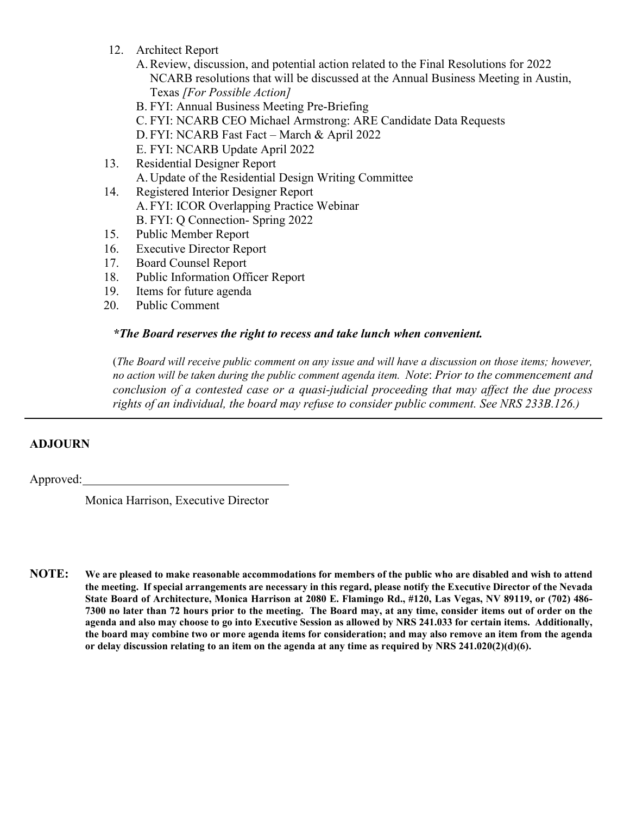- 12. Architect Report
	- A.Review, discussion, and potential action related to the Final Resolutions for 2022 NCARB resolutions that will be discussed at the Annual Business Meeting in Austin, Texas *[For Possible Action]*
	- B. FYI: Annual Business Meeting Pre-Briefing
	- C. FYI: NCARB CEO Michael Armstrong: ARE Candidate Data Requests
	- D. FYI: NCARB Fast Fact March & April 2022
	- E. FYI: NCARB Update April 2022
- 13. Residential Designer Report A. Update of the Residential Design Writing Committee
- 14. Registered Interior Designer Report A. FYI: ICOR Overlapping Practice Webinar B. FYI: Q Connection- Spring 2022
- 15. Public Member Report
- 16. Executive Director Report
- 17. Board Counsel Report
- 18. Public Information Officer Report
- 19. Items for future agenda
- 20. Public Comment

## *\*The Board reserves the right to recess and take lunch when convenient.*

(*The Board will receive public comment on any issue and will have a discussion on those items; however, no action will be taken during the public comment agenda item. Note*: *Prior to the commencement and conclusion of a contested case or a quasi-judicial proceeding that may affect the due process rights of an individual, the board may refuse to consider public comment. See NRS 233B.126.)* 

# **ADJOURN**

Approved:

Monica Harrison, Executive Director

**NOTE: We are pleased to make reasonable accommodations for members of the public who are disabled and wish to attend the meeting. If special arrangements are necessary in this regard, please notify the Executive Director of the Nevada State Board of Architecture, Monica Harrison at 2080 E. Flamingo Rd., #120, Las Vegas, NV 89119, or (702) 486- 7300 no later than 72 hours prior to the meeting. The Board may, at any time, consider items out of order on the agenda and also may choose to go into Executive Session as allowed by NRS 241.033 for certain items. Additionally, the board may combine two or more agenda items for consideration; and may also remove an item from the agenda or delay discussion relating to an item on the agenda at any time as required by NRS 241.020(2)(d)(6).**